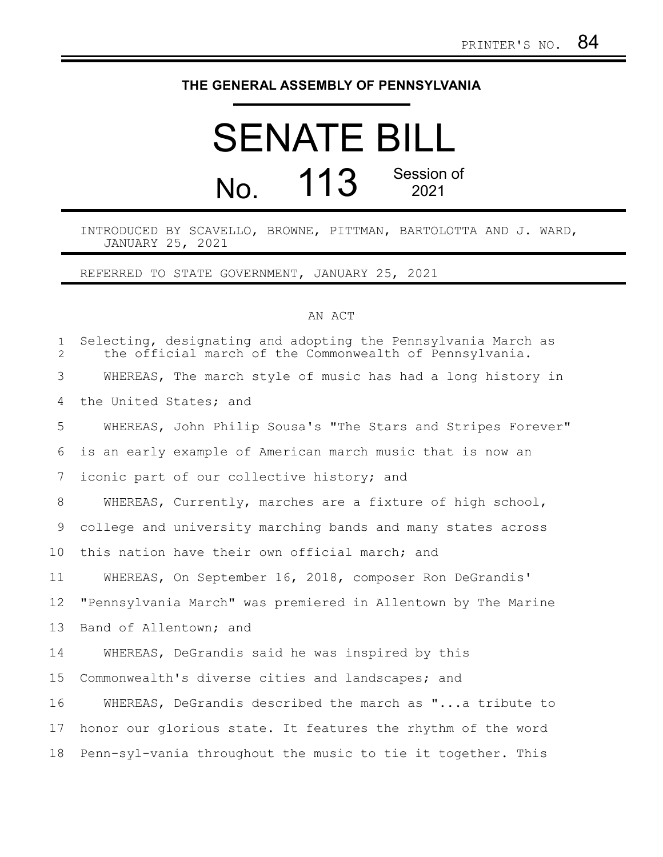## **THE GENERAL ASSEMBLY OF PENNSYLVANIA**

## SENATE BILL No. 113 Session of 2021

INTRODUCED BY SCAVELLO, BROWNE, PITTMAN, BARTOLOTTA AND J. WARD, JANUARY 25, 2021

REFERRED TO STATE GOVERNMENT, JANUARY 25, 2021

## AN ACT

| $\mathbf{1}$<br>$\overline{2}$ | Selecting, designating and adopting the Pennsylvania March as<br>the official march of the Commonwealth of Pennsylvania. |
|--------------------------------|--------------------------------------------------------------------------------------------------------------------------|
| 3                              | WHEREAS, The march style of music has had a long history in                                                              |
| 4                              | the United States; and                                                                                                   |
| 5                              | WHEREAS, John Philip Sousa's "The Stars and Stripes Forever"                                                             |
| 6                              | is an early example of American march music that is now an                                                               |
| $7\phantom{.0}$                | iconic part of our collective history; and                                                                               |
| 8                              | WHEREAS, Currently, marches are a fixture of high school,                                                                |
| 9                              | college and university marching bands and many states across                                                             |
| 10                             | this nation have their own official march; and                                                                           |
| 11                             | WHEREAS, On September 16, 2018, composer Ron DeGrandis'                                                                  |
| 12                             | "Pennsylvania March" was premiered in Allentown by The Marine                                                            |
| 13                             | Band of Allentown; and                                                                                                   |
| 14                             | WHEREAS, DeGrandis said he was inspired by this                                                                          |
| 15                             | Commonwealth's diverse cities and landscapes; and                                                                        |
| 16                             | WHEREAS, DeGrandis described the march as "a tribute to                                                                  |
| 17                             | honor our glorious state. It features the rhythm of the word                                                             |
| 18                             | Penn-syl-vania throughout the music to tie it together. This                                                             |